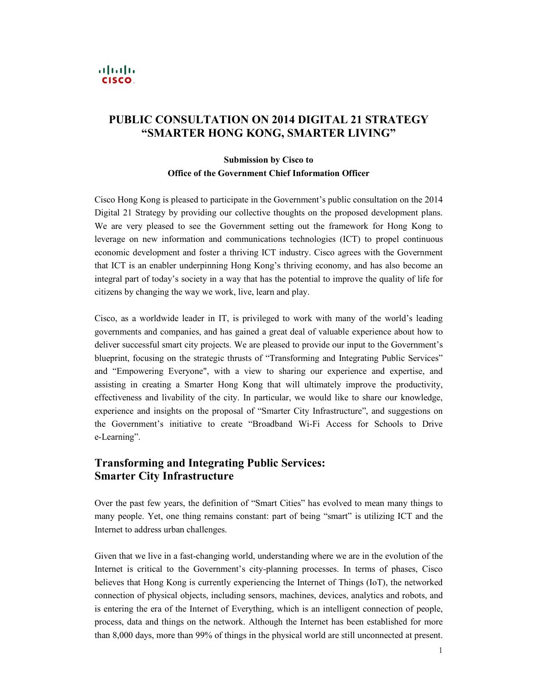### $\mathbf{d}$  and  $\mathbf{d}$ CISCO.

# PUBLIC CONSULTATION ON 2014 DIGITAL 21 STRATEGY "SMARTER HONG KONG, SMARTER LIVING"

### Submission by Cisco to Office of the Government Chief Information Officer

 Cisco Hong Kong is pleased to participate in the Government's public consultation on the 2014 Digital 21 Strategy by providing our collective thoughts on the proposed development plans. We are very pleased to see the Government setting out the framework for Hong Kong to leverage on new information and communications technologies (ICT) to propel continuous economic development and foster a thriving ICT industry. Cisco agrees with the Government that ICT is an enabler underpinning Hong Kong's thriving economy, and has also become an integral part of today's society in a way that has the potential to improve the quality of life for citizens by changing the way we work, live, learn and play.

 Cisco, as a worldwide leader in IT, is privileged to work with many of the world's leading governments and companies, and has gained a great deal of valuable experience about how to deliver successful smart city projects. We are pleased to provide our input to the Government's blueprint, focusing on the strategic thrusts of "Transforming and Integrating Public Services" and "Empowering Everyone", with a view to sharing our experience and expertise, and assisting in creating a Smarter Hong Kong that will ultimately improve the productivity, effectiveness and livability of the city. In particular, we would like to share our knowledge, experience and insights on the proposal of "Smarter City Infrastructure", and suggestions on the Government's initiative to create "Broadband WiFi Access for Schools to Drive e-Learning".

## Transforming and Integrating Public Services: Smarter City Infrastructure

 Over the past few years, the definition of "Smart Cities" has evolved to mean many things to many people. Yet, one thing remains constant: part of being "smart" is utilizing ICT and the Internet to address urban challenges.

Given that we live in a fast-changing world, understanding where we are in the evolution of the Internet is critical to the Government's city-planning processes. In terms of phases, Cisco believes that Hong Kong is currently experiencing the Internet of Things (IoT), the networked connection of physical objects, including sensors, machines, devices, analytics and robots, and is entering the era of the Internet of Everything, which is an intelligent connection of people, process, data and things on the network. Although the Internet has been established for more than 8,000 days, more than 99% of things in the physical world are still unconnected at present.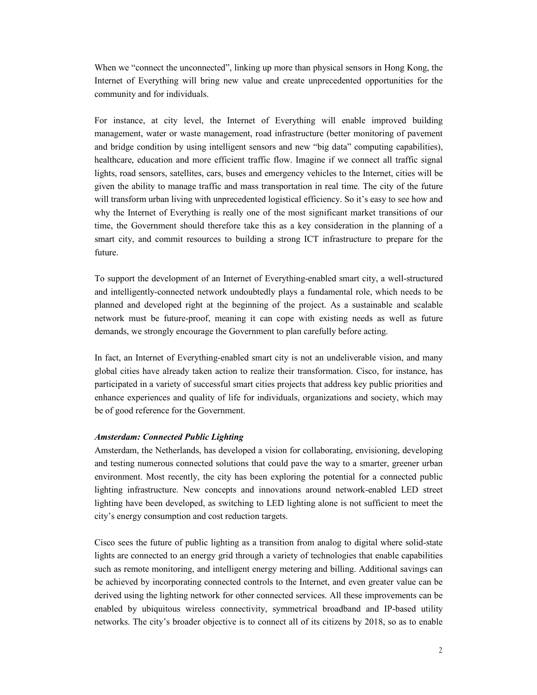When we "connect the unconnected", linking up more than physical sensors in Hong Kong, the Internet of Everything will bring new value and create unprecedented opportunities for the community and for individuals.

 For instance, at city level, the Internet of Everything will enable improved building management, water or waste management, road infrastructure (better monitoring of pavement and bridge condition by using intelligent sensors and new "big data" computing capabilities), healthcare, education and more efficient traffic flow. Imagine if we connect all traffic signal lights, road sensors, satellites, cars, buses and emergency vehicles to the Internet, cities will be given the ability to manage traffic and mass transportation in real time. The city of the future will transform urban living with unprecedented logistical efficiency. So it's easy to see how and why the Internet of Everything is really one of the most significant market transitions of our time, the Government should therefore take this as a key consideration in the planning of a smart city, and commit resources to building a strong ICT infrastructure to prepare for the future.

To support the development of an Internet of Everything-enabled smart city, a well-structured and intelligently-connected network undoubtedly plays a fundamental role, which needs to be planned and developed right at the beginning of the project. As a sustainable and scalable network must be future-proof, meaning it can cope with existing needs as well as future demands, we strongly encourage the Government to plan carefully before acting.

In fact, an Internet of Everything-enabled smart city is not an undeliverable vision, and many global cities have already taken action to realize their transformation. Cisco, for instance, has participated in a variety of successful smart cities projects that address key public priorities and enhance experiences and quality of life for individuals, organizations and society, which may be of good reference for the Government.

#### Amsterdam: Connected Public Lighting

 Amsterdam, the Netherlands, has developed a vision for collaborating, envisioning, developing and testing numerous connected solutions that could pave the way to a smarter, greener urban environment. Most recently, the city has been exploring the potential for a connected public lighting infrastructure. New concepts and innovations around network-enabled LED street lighting have been developed, as switching to LED lighting alone is not sufficient to meet the city's energy consumption and cost reduction targets.

Cisco sees the future of public lighting as a transition from analog to digital where solid-state lights are connected to an energy grid through a variety of technologies that enable capabilities such as remote monitoring, and intelligent energy metering and billing. Additional savings can be achieved by incorporating connected controls to the Internet, and even greater value can be derived using the lighting network for other connected services. All these improvements can be enabled by ubiquitous wireless connectivity, symmetrical broadband and IP-based utility networks. The city's broader objective is to connect all of its citizens by 2018, so as to enable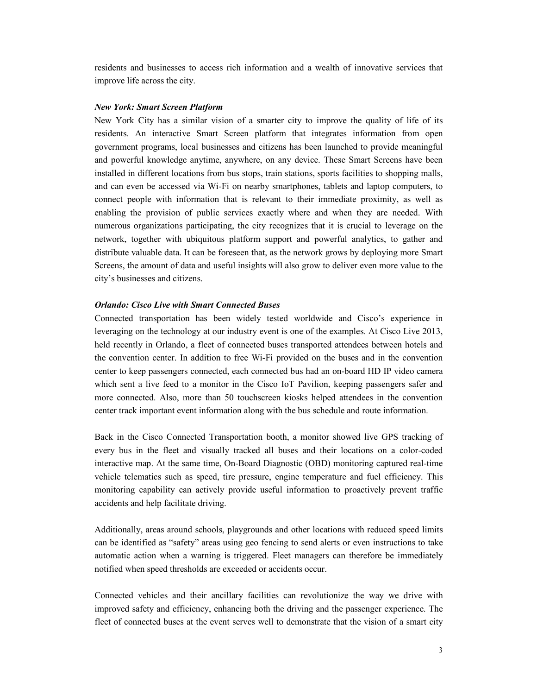residents and businesses to access rich information and a wealth of innovative services that improve life across the city.

#### New York: Smart Screen Platform

 New York City has a similar vision of a smarter city to improve the quality of life of its residents. An interactive Smart Screen platform that integrates information from open government programs, local businesses and citizens has been launched to provide meaningful and powerful knowledge anytime, anywhere, on any device. These Smart Screens have been installed in different locations from bus stops, train stations, sports facilities to shopping malls, and can even be accessed via Wi-Fi on nearby smartphones, tablets and laptop computers, to connect people with information that is relevant to their immediate proximity, as well as enabling the provision of public services exactly where and when they are needed. With numerous organizations participating, the city recognizes that it is crucial to leverage on the network, together with ubiquitous platform support and powerful analytics, to gather and distribute valuable data. It can be foreseen that, as the network grows by deploying more Smart Screens, the amount of data and useful insights will also grow to deliver even more value to the city's businesses and citizens.

#### Orlando: Cisco Live with Smart Connected Buses

 Connected transportation has been widely tested worldwide and Cisco's experience in leveraging on the technology at our industry event is one of the examples. At Cisco Live 2013, held recently in Orlando, a fleet of connected buses transported attendees between hotels and the convention center. In addition to free Wi-Fi provided on the buses and in the convention center to keep passengers connected, each connected bus had an on-board HD IP video camera which sent a live feed to a monitor in the Cisco IoT Pavilion, keeping passengers safer and more connected. Also, more than 50 touchscreen kiosks helped attendees in the convention center track important event information along with the bus schedule and route information.

 Back in the Cisco Connected Transportation booth, a monitor showed live GPS tracking of every bus in the fleet and visually tracked all buses and their locations on a color-coded interactive map. At the same time, On-Board Diagnostic (OBD) monitoring captured real-time vehicle telematics such as speed, tire pressure, engine temperature and fuel efficiency. This monitoring capability can actively provide useful information to proactively prevent traffic accidents and help facilitate driving.

 Additionally, areas around schools, playgrounds and other locations with reduced speed limits can be identified as "safety" areas using geo fencing to send alerts or even instructions to take automatic action when a warning is triggered. Fleet managers can therefore be immediately notified when speed thresholds are exceeded or accidents occur.

 Connected vehicles and their ancillary facilities can revolutionize the way we drive with improved safety and efficiency, enhancing both the driving and the passenger experience. The fleet of connected buses at the event serves well to demonstrate that the vision of a smart city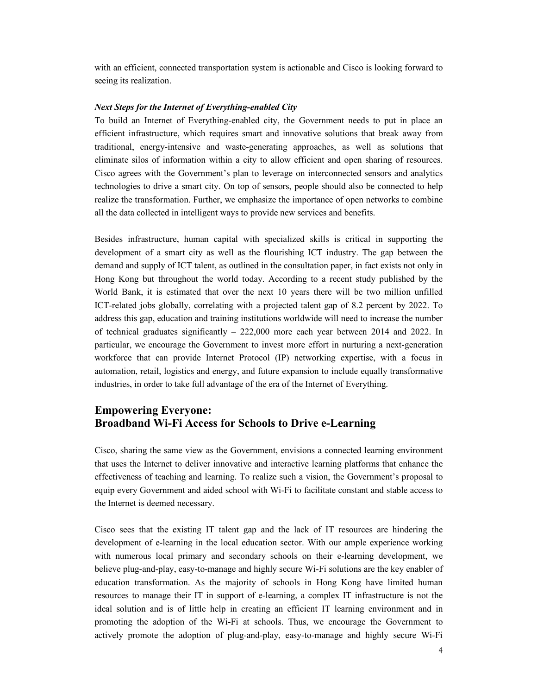with an efficient, connected transportation system is actionable and Cisco is looking forward to seeing its realization.

#### Next Steps for the Internet of Everything-enabled City

To build an Internet of Everything-enabled city, the Government needs to put in place an efficient infrastructure, which requires smart and innovative solutions that break away from traditional, energy-intensive and waste-generating approaches, as well as solutions that eliminate silos of information within a city to allow efficient and open sharing of resources. Cisco agrees with the Government's plan to leverage on interconnected sensors and analytics technologies to drive a smart city. On top of sensors, people should also be connected to help realize the transformation. Further, we emphasize the importance of open networks to combine all the data collected in intelligent ways to provide new services and benefits.

 Besides infrastructure, human capital with specialized skills is critical in supporting the development of a smart city as well as the flourishing ICT industry. The gap between the demand and supply of ICT talent, as outlined in the consultation paper, in fact exists not only in Hong Kong but throughout the world today. According to a recent study published by the World Bank, it is estimated that over the next 10 years there will be two million unfilled ICT-related jobs globally, correlating with a projected talent gap of 8.2 percent by 2022. To address this gap, education and training institutions worldwide will need to increase the number of technical graduates significantly – 222,000 more each year between 2014 and 2022. In particular, we encourage the Government to invest more effort in nurturing a next-generation workforce that can provide Internet Protocol (IP) networking expertise, with a focus in automation, retail, logistics and energy, and future expansion to include equally transformative industries, in order to take full advantage of the era of the Internet of Everything.

## Empowering Everyone: Broadband Wi-Fi Access for Schools to Drive e-Learning

 Cisco, sharing the same view as the Government, envisions a connected learning environment that uses the Internet to deliver innovative and interactive learning platforms that enhance the effectiveness of teaching and learning. To realize such a vision, the Government's proposal to equip every Government and aided school with Wi-Fi to facilitate constant and stable access to the Internet is deemed necessary.

 Cisco sees that the existing IT talent gap and the lack of IT resources are hindering the development of e-learning in the local education sector. With our ample experience working with numerous local primary and secondary schools on their e-learning development, we believe plug-and-play, easy-to-manage and highly secure Wi-Fi solutions are the key enabler of education transformation. As the majority of schools in Hong Kong have limited human resources to manage their IT in support of elearning, a complex IT infrastructure is not the ideal solution and is of little help in creating an efficient IT learning environment and in promoting the adoption of the Wi-Fi at schools. Thus, we encourage the Government to actively promote the adoption of plug-and-play, easy-to-manage and highly secure Wi-Fi